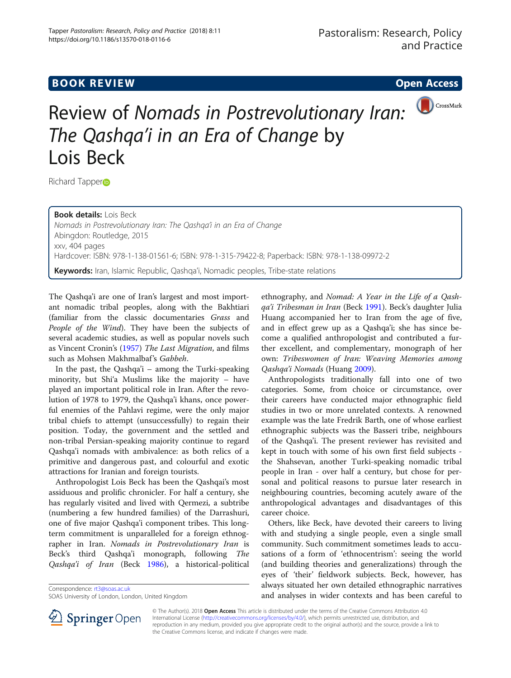# **BOOK REVIEW CONTROL** BOOK REVIEW



# Review of Nomads in Postrevolutionary Iran: The Qashqa'i in an Era of Change by Lois Beck

Richard Tapper<sup>®</sup>

Book details: Lois Beck

Nomads in Postrevolutionary Iran: The Qashqa'i in an Era of Change Abingdon: Routledge, 2015 xxv, 404 pages Hardcover: ISBN: 978-1-138-01561-6; ISBN: 978-1-315-79422-8; Paperback: ISBN: 978-1-138-09972-2 Keywords: Iran, Islamic Republic, Qashqa'i, Nomadic peoples, Tribe-state relations

The Qashqa'i are one of Iran's largest and most important nomadic tribal peoples, along with the Bakhtiari (familiar from the classic documentaries Grass and People of the Wind). They have been the subjects of several academic studies, as well as popular novels such as Vincent Cronin's ([1957](#page-2-0)) The Last Migration, and films such as Mohsen Makhmalbaf's Gabbeh.

In the past, the Qashqa'i – among the Turki-speaking minority, but Shi'a Muslims like the majority – have played an important political role in Iran. After the revolution of 1978 to 1979, the Qashqa'i khans, once powerful enemies of the Pahlavi regime, were the only major tribal chiefs to attempt (unsuccessfully) to regain their position. Today, the government and the settled and non-tribal Persian-speaking majority continue to regard Qashqa'i nomads with ambivalence: as both relics of a primitive and dangerous past, and colourful and exotic attractions for Iranian and foreign tourists.

Anthropologist Lois Beck has been the Qashqai's most assiduous and prolific chronicler. For half a century, she has regularly visited and lived with Qermezi, a subtribe (numbering a few hundred families) of the Darrashuri, one of five major Qashqa'i component tribes. This longterm commitment is unparalleled for a foreign ethnographer in Iran. Nomads in Postrevolutionary Iran is Beck's third Qashqa'i monograph, following The Qashqa'i of Iran (Beck [1986](#page-2-0)), a historical-political

SOAS University of London, London, United Kingdom

ethnography, and Nomad: A Year in the Life of a Qashqa'i Tribesman in Iran (Beck [1991\)](#page-2-0). Beck's daughter Julia Huang accompanied her to Iran from the age of five, and in effect grew up as a Qashqa'i; she has since become a qualified anthropologist and contributed a further excellent, and complementary, monograph of her own: Tribeswomen of Iran: Weaving Memories among Qashqa'i Nomads (Huang [2009\)](#page-2-0).

Anthropologists traditionally fall into one of two categories. Some, from choice or circumstance, over their careers have conducted major ethnographic field studies in two or more unrelated contexts. A renowned example was the late Fredrik Barth, one of whose earliest ethnographic subjects was the Basseri tribe, neighbours of the Qashqa'i. The present reviewer has revisited and kept in touch with some of his own first field subjects the Shahsevan, another Turki-speaking nomadic tribal people in Iran - over half a century, but chose for personal and political reasons to pursue later research in neighbouring countries, becoming acutely aware of the anthropological advantages and disadvantages of this career choice.

Others, like Beck, have devoted their careers to living with and studying a single people, even a single small community. Such commitment sometimes leads to accusations of a form of 'ethnocentrism': seeing the world (and building theories and generalizations) through the eyes of 'their' fieldwork subjects. Beck, however, has always situated her own detailed ethnographic narratives Correspondence: [rt3@soas.ac.uk](mailto:rt3@soas.ac.uk)<br>SOAS University of London, London, United Kingdom **Correspondence: rtanding and analyses in wider contexts and has been careful to** 



© The Author(s). 2018 Open Access This article is distributed under the terms of the Creative Commons Attribution 4.0 International License ([http://creativecommons.org/licenses/by/4.0/\)](http://creativecommons.org/licenses/by/4.0/), which permits unrestricted use, distribution, and reproduction in any medium, provided you give appropriate credit to the original author(s) and the source, provide a link to the Creative Commons license, and indicate if changes were made.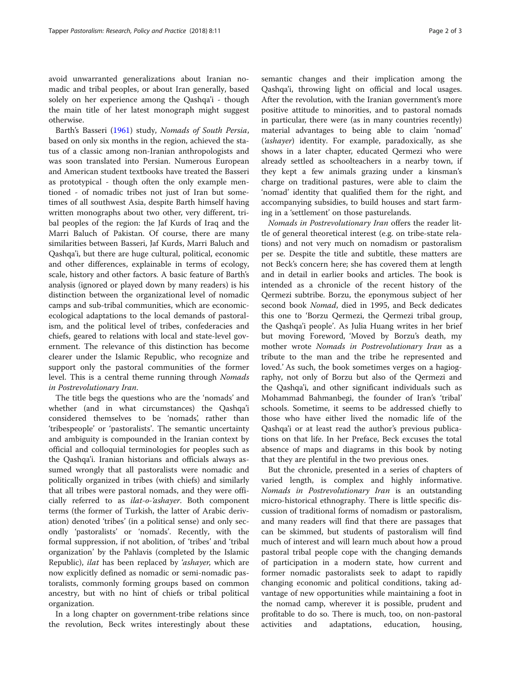avoid unwarranted generalizations about Iranian nomadic and tribal peoples, or about Iran generally, based solely on her experience among the Qashqa'i - though the main title of her latest monograph might suggest otherwise.

Barth's Basseri ([1961\)](#page-2-0) study, Nomads of South Persia, based on only six months in the region, achieved the status of a classic among non-Iranian anthropologists and was soon translated into Persian. Numerous European and American student textbooks have treated the Basseri as prototypical - though often the only example mentioned - of nomadic tribes not just of Iran but sometimes of all southwest Asia, despite Barth himself having written monographs about two other, very different, tribal peoples of the region: the Jaf Kurds of Iraq and the Marri Baluch of Pakistan. Of course, there are many similarities between Basseri, Jaf Kurds, Marri Baluch and Qashqa'i, but there are huge cultural, political, economic and other differences, explainable in terms of ecology, scale, history and other factors. A basic feature of Barth's analysis (ignored or played down by many readers) is his distinction between the organizational level of nomadic camps and sub-tribal communities, which are economicecological adaptations to the local demands of pastoralism, and the political level of tribes, confederacies and chiefs, geared to relations with local and state-level government. The relevance of this distinction has become clearer under the Islamic Republic, who recognize and support only the pastoral communities of the former level. This is a central theme running through Nomads in Postrevolutionary Iran.

The title begs the questions who are the 'nomads' and whether (and in what circumstances) the Qashqa'i considered themselves to be 'nomads', rather than 'tribespeople' or 'pastoralists'. The semantic uncertainty and ambiguity is compounded in the Iranian context by official and colloquial terminologies for peoples such as the Qashqa'i. Iranian historians and officials always assumed wrongly that all pastoralists were nomadic and politically organized in tribes (with chiefs) and similarly that all tribes were pastoral nomads, and they were officially referred to as ilat-o-'ashayer. Both component terms (the former of Turkish, the latter of Arabic derivation) denoted 'tribes' (in a political sense) and only secondly 'pastoralists' or 'nomads'. Recently, with the formal suppression, if not abolition, of 'tribes' and 'tribal organization' by the Pahlavis (completed by the Islamic Republic), *ilat* has been replaced by *'ashayer*, which are now explicitly defined as nomadic or semi-nomadic pastoralists, commonly forming groups based on common ancestry, but with no hint of chiefs or tribal political organization.

In a long chapter on government-tribe relations since the revolution, Beck writes interestingly about these semantic changes and their implication among the Qashqa'i, throwing light on official and local usages. After the revolution, with the Iranian government's more positive attitude to minorities, and to pastoral nomads in particular, there were (as in many countries recently) material advantages to being able to claim 'nomad' ('ashayer) identity. For example, paradoxically, as she shows in a later chapter, educated Qermezi who were already settled as schoolteachers in a nearby town, if they kept a few animals grazing under a kinsman's charge on traditional pastures, were able to claim the 'nomad' identity that qualified them for the right, and accompanying subsidies, to build houses and start farming in a 'settlement' on those pasturelands.

Nomads in Postrevolutionary Iran offers the reader little of general theoretical interest (e.g. on tribe-state relations) and not very much on nomadism or pastoralism per se. Despite the title and subtitle, these matters are not Beck's concern here; she has covered them at length and in detail in earlier books and articles. The book is intended as a chronicle of the recent history of the Qermezi subtribe. Borzu, the eponymous subject of her second book Nomad, died in 1995, and Beck dedicates this one to 'Borzu Qermezi, the Qermezi tribal group, the Qashqa'i people'. As Julia Huang writes in her brief but moving Foreword, 'Moved by Borzu's death, my mother wrote Nomads in Postrevolutionary Iran as a tribute to the man and the tribe he represented and loved.' As such, the book sometimes verges on a hagiography, not only of Borzu but also of the Qermezi and the Qashqa'i, and other significant individuals such as Mohammad Bahmanbegi, the founder of Iran's 'tribal' schools. Sometime, it seems to be addressed chiefly to those who have either lived the nomadic life of the Qashqa'i or at least read the author's previous publications on that life. In her Preface, Beck excuses the total absence of maps and diagrams in this book by noting that they are plentiful in the two previous ones.

But the chronicle, presented in a series of chapters of varied length, is complex and highly informative. Nomads in Postrevolutionary Iran is an outstanding micro-historical ethnography. There is little specific discussion of traditional forms of nomadism or pastoralism, and many readers will find that there are passages that can be skimmed, but students of pastoralism will find much of interest and will learn much about how a proud pastoral tribal people cope with the changing demands of participation in a modern state, how current and former nomadic pastoralists seek to adapt to rapidly changing economic and political conditions, taking advantage of new opportunities while maintaining a foot in the nomad camp, wherever it is possible, prudent and profitable to do so. There is much, too, on non-pastoral activities and adaptations, education, housing,